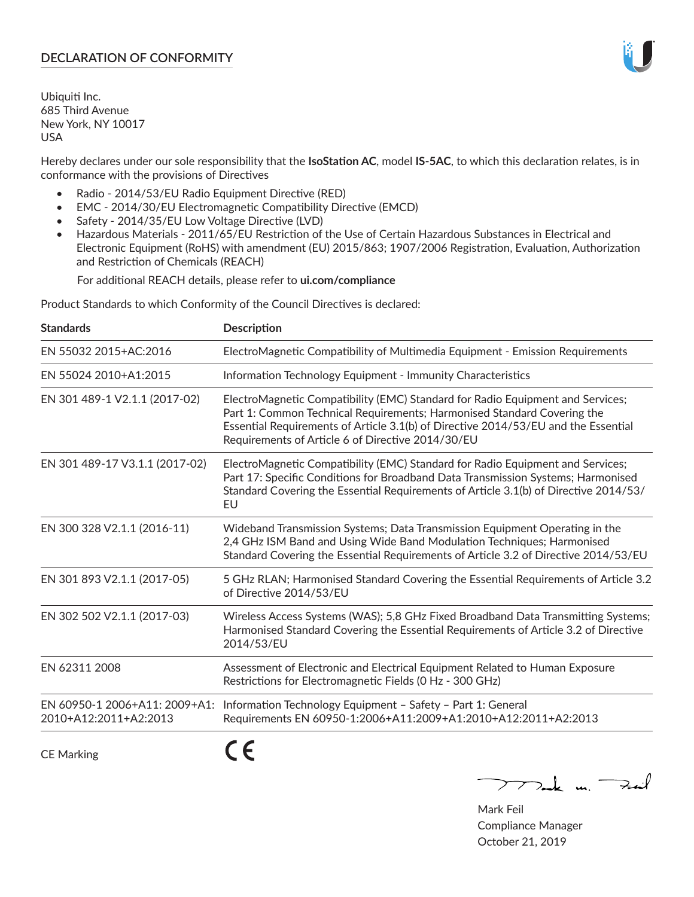# **DECLARATION OF CONFORMITY**

Ubiquiti Inc. 685 Third Avenue New York, NY 10017 USA

Hereby declares under our sole responsibility that the **IsoStation AC**, model **IS-5AC**, to which this declaration relates, is in conformance with the provisions of Directives

- Radio 2014/53/EU Radio Equipment Directive (RED)
- EMC 2014/30/EU Electromagnetic Compatibility Directive (EMCD)
- Safety 2014/35/EU Low Voltage Directive (LVD)
- Hazardous Materials 2011/65/EU Restriction of the Use of Certain Hazardous Substances in Electrical and Electronic Equipment (RoHS) with amendment (EU) 2015/863; 1907/2006 Registration, Evaluation, Authorization and Restriction of Chemicals (REACH)

For additional REACH details, please refer to **ui.com/compliance**

Product Standards to which Conformity of the Council Directives is declared:

| <b>Standards</b>                                       | <b>Description</b>                                                                                                                                                                                                                                                                                   |
|--------------------------------------------------------|------------------------------------------------------------------------------------------------------------------------------------------------------------------------------------------------------------------------------------------------------------------------------------------------------|
| EN 55032 2015+AC:2016                                  | ElectroMagnetic Compatibility of Multimedia Equipment - Emission Requirements                                                                                                                                                                                                                        |
| EN 55024 2010+A1:2015                                  | Information Technology Equipment - Immunity Characteristics                                                                                                                                                                                                                                          |
| EN 301 489-1 V2.1.1 (2017-02)                          | ElectroMagnetic Compatibility (EMC) Standard for Radio Equipment and Services;<br>Part 1: Common Technical Requirements; Harmonised Standard Covering the<br>Essential Requirements of Article 3.1(b) of Directive 2014/53/EU and the Essential<br>Requirements of Article 6 of Directive 2014/30/EU |
| EN 301 489-17 V3.1.1 (2017-02)                         | ElectroMagnetic Compatibility (EMC) Standard for Radio Equipment and Services;<br>Part 17: Specific Conditions for Broadband Data Transmission Systems; Harmonised<br>Standard Covering the Essential Requirements of Article 3.1(b) of Directive 2014/53/<br>EU                                     |
| EN 300 328 V2.1.1 (2016-11)                            | Wideband Transmission Systems; Data Transmission Equipment Operating in the<br>2,4 GHz ISM Band and Using Wide Band Modulation Techniques; Harmonised<br>Standard Covering the Essential Requirements of Article 3.2 of Directive 2014/53/EU                                                         |
| EN 301 893 V2.1.1 (2017-05)                            | 5 GHz RLAN; Harmonised Standard Covering the Essential Requirements of Article 3.2<br>of Directive 2014/53/EU                                                                                                                                                                                        |
| EN 302 502 V2.1.1 (2017-03)                            | Wireless Access Systems (WAS); 5,8 GHz Fixed Broadband Data Transmitting Systems;<br>Harmonised Standard Covering the Essential Requirements of Article 3.2 of Directive<br>2014/53/EU                                                                                                               |
| EN 62311 2008                                          | Assessment of Electronic and Electrical Equipment Related to Human Exposure<br>Restrictions for Electromagnetic Fields (0 Hz - 300 GHz)                                                                                                                                                              |
| EN 60950-1 2006+A11: 2009+A1:<br>2010+A12:2011+A2:2013 | Information Technology Equipment - Safety - Part 1: General<br>Requirements EN 60950-1:2006+A11:2009+A1:2010+A12:2011+A2:2013                                                                                                                                                                        |
|                                                        | - -                                                                                                                                                                                                                                                                                                  |

CE Marking

CE

 $\nabla$  and  $\nabla$  and  $\nabla$ 

Mark Feil Compliance Manager October 21, 2019

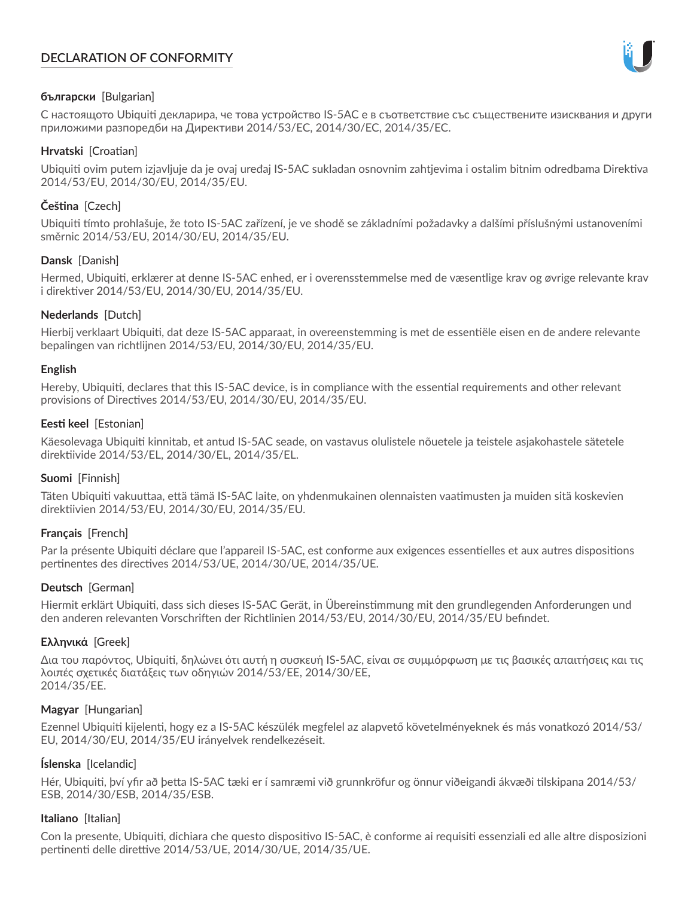# **DECLARATION OF CONFORMITY**



## **български** [Bulgarian]

С настоящото Ubiquiti декларира, че това устройство IS-5AC е в съответствие със съществените изисквания и други приложими разпоредби на Директиви 2014/53/EC, 2014/30/ЕС, 2014/35/ЕС.

## **Hrvatski** [Croatian]

Ubiquiti ovim putem izjavljuje da je ovaj uređaj IS-5AC sukladan osnovnim zahtjevima i ostalim bitnim odredbama Direktiva 2014/53/EU, 2014/30/EU, 2014/35/EU.

# **Čeština** [Czech]

Ubiquiti tímto prohlašuje, že toto IS-5AC zařízení, je ve shodě se základními požadavky a dalšími příslušnými ustanoveními směrnic 2014/53/EU, 2014/30/EU, 2014/35/EU.

## **Dansk** [Danish]

Hermed, Ubiquiti, erklærer at denne IS-5AC enhed, er i overensstemmelse med de væsentlige krav og øvrige relevante krav i direktiver 2014/53/EU, 2014/30/EU, 2014/35/EU.

## **Nederlands** [Dutch]

Hierbij verklaart Ubiquiti, dat deze IS-5AC apparaat, in overeenstemming is met de essentiële eisen en de andere relevante bepalingen van richtlijnen 2014/53/EU, 2014/30/EU, 2014/35/EU.

## **English**

Hereby, Ubiquiti, declares that this IS-5AC device, is in compliance with the essential requirements and other relevant provisions of Directives 2014/53/EU, 2014/30/EU, 2014/35/EU.

## **Eesti keel** [Estonian]

Käesolevaga Ubiquiti kinnitab, et antud IS-5AC seade, on vastavus olulistele nõuetele ja teistele asjakohastele sätetele direktiivide 2014/53/EL, 2014/30/EL, 2014/35/EL.

## **Suomi** [Finnish]

Täten Ubiquiti vakuuttaa, että tämä IS-5AC laite, on yhdenmukainen olennaisten vaatimusten ja muiden sitä koskevien direktiivien 2014/53/EU, 2014/30/EU, 2014/35/EU.

## **Français** [French]

Par la présente Ubiquiti déclare que l'appareil IS-5AC, est conforme aux exigences essentielles et aux autres dispositions pertinentes des directives 2014/53/UE, 2014/30/UE, 2014/35/UE.

## **Deutsch** [German]

Hiermit erklärt Ubiquiti, dass sich dieses IS-5AC Gerät, in Übereinstimmung mit den grundlegenden Anforderungen und den anderen relevanten Vorschriften der Richtlinien 2014/53/EU, 2014/30/EU, 2014/35/EU befindet.

## **Ελληνικά** [Greek]

Δια του παρόντος, Ubiquiti, δηλώνει ότι αυτή η συσκευή IS-5AC, είναι σε συμμόρφωση με τις βασικές απαιτήσεις και τις λοιπές σχετικές διατάξεις των οδηγιών 2014/53/EE, 2014/30/EE, 2014/35/EE.

## **Magyar** [Hungarian]

Ezennel Ubiquiti kijelenti, hogy ez a IS-5AC készülék megfelel az alapvető követelményeknek és más vonatkozó 2014/53/ EU, 2014/30/EU, 2014/35/EU irányelvek rendelkezéseit.

## **Íslenska** [Icelandic]

Hér, Ubiquiti, því yfir að þetta IS-5AC tæki er í samræmi við grunnkröfur og önnur viðeigandi ákvæði tilskipana 2014/53/ ESB, 2014/30/ESB, 2014/35/ESB.

## **Italiano** [Italian]

Con la presente, Ubiquiti, dichiara che questo dispositivo IS-5AC, è conforme ai requisiti essenziali ed alle altre disposizioni pertinenti delle direttive 2014/53/UE, 2014/30/UE, 2014/35/UE.